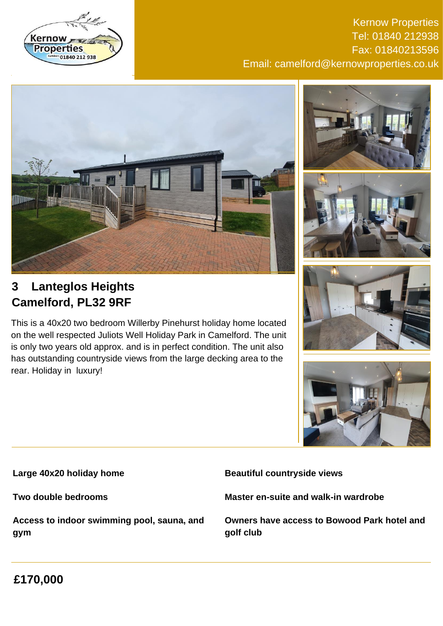

Kernow Properties Tel: 01840 212938 Fax: 01840213596 Email: camelford@kernowproperties.co.uk







This is a 40x20 two bedroom Willerby Pinehurst holiday home located on the well respected Juliots Well Holiday Park in Camelford. The unit is only two years old approx. and is in perfect condition. The unit also has outstanding countryside views from the large decking area to the rear. Holiday in luxury!





**Large 40x20 holiday home**

**Two double bedrooms**

**Access to indoor swimming pool, sauna, and gym**

**Beautiful countryside views**

**Master en-suite and walk-in wardrobe**

**Owners have access to Bowood Park hotel and golf club**